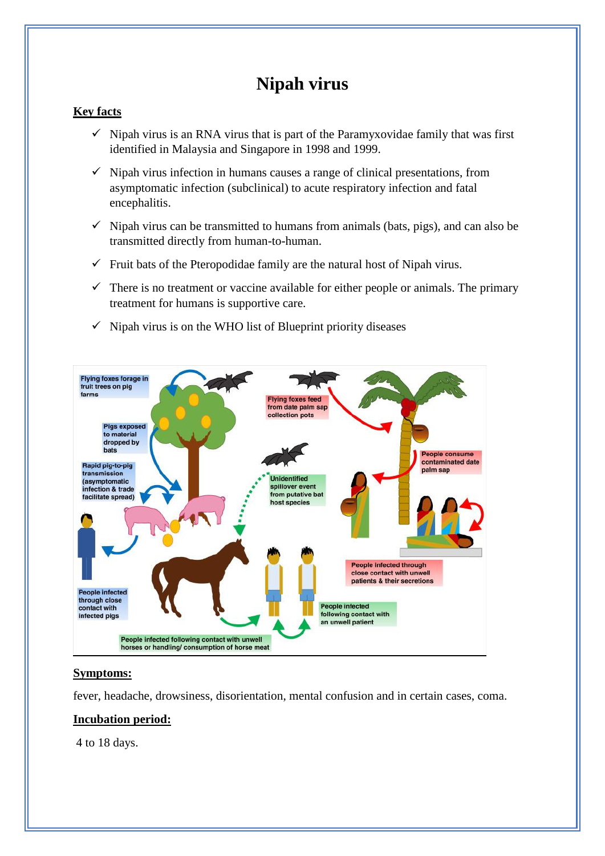# **Nipah virus**

#### **Key facts**

- $\checkmark$  Nipah virus is an RNA virus that is part of the Paramyxovidae family that was first identified in Malaysia and Singapore in 1998 and 1999.
- $\checkmark$  Nipah virus infection in humans causes a range of clinical presentations, from asymptomatic infection (subclinical) to acute respiratory infection and fatal encephalitis.
- $\checkmark$  Nipah virus can be transmitted to humans from animals (bats, pigs), and can also be transmitted directly from human-to-human.
- $\checkmark$  Fruit bats of the Pteropodidae family are the natural host of Nipah virus.
- $\checkmark$  There is no treatment or vaccine available for either people or animals. The primary treatment for humans is supportive care.
- $\checkmark$  Nipah virus is on the WHO list of Blueprint priority diseases



#### **Symptoms:**

fever, headache, drowsiness, disorientation, mental confusion and in certain cases, coma.

#### **Incubation period:**

4 to 18 days.